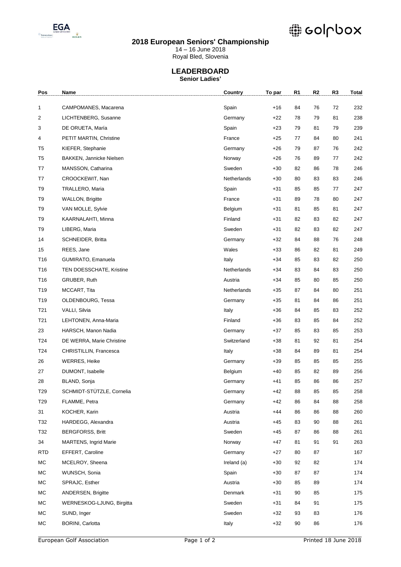

### **2018 European Seniors' Championship**

# @ eolupox

14 – 16 June 2018

Royal Bled, Slovenia

### **LEADERBOARD Senior Ladies'**

| Pos             | Name                         | Country     | To par | R <sub>1</sub> | R <sub>2</sub> | R <sub>3</sub> | Total |
|-----------------|------------------------------|-------------|--------|----------------|----------------|----------------|-------|
| 1               | CAMPOMANES, Macarena         | Spain       | +16    | 84             | 76             | 72             | 232   |
| 2               | LICHTENBERG, Susanne         | Germany     | $+22$  | 78             | 79             | 81             | 238   |
| 3               | DE ORUETA, María             | Spain       | +23    | 79             | 81             | 79             | 239   |
| 4               | PETIT MARTIN, Christine      | France      | $+25$  | 77             | 84             | 80             | 241   |
| T5              | KIEFER, Stephanie            | Germany     | +26    | 79             | 87             | 76             | 242   |
| T <sub>5</sub>  | BAKKEN, Jannicke Nielsen     | Norway      | +26    | 76             | 89             | 77             | 242   |
| T7              | MANSSON, Catharina           | Sweden      | $+30$  | 82             | 86             | 78             | 246   |
| T7              | CROOCKEWIT, Nan              | Netherlands | $+30$  | 80             | 83             | 83             | 246   |
| T9              | TRALLERO, Maria              | Spain       | +31    | 85             | 85             | 77             | 247   |
| T <sub>9</sub>  | <b>WALLON, Brigitte</b>      | France      | +31    | 89             | 78             | 80             | 247   |
| T9              | VAN MOLLE, Sylvie            | Belgium     | +31    | 81             | 85             | 81             | 247   |
| T <sub>9</sub>  | KAARNALAHTI, Minna           | Finland     | +31    | 82             | 83             | 82             | 247   |
| T9              | LIBERG, Maria                | Sweden      | +31    | 82             | 83             | 82             | 247   |
| 14              | SCHNEIDER, Britta            | Germany     | +32    | 84             | 88             | 76             | 248   |
| 15              | REES, Jane                   | Wales       | +33    | 86             | 82             | 81             | 249   |
| T16             | GUMIRATO, Emanuela           | Italy       | +34    | 85             | 83             | 82             | 250   |
| T16             | TEN DOESSCHATE, Kristine     | Netherlands | +34    | 83             | 84             | 83             | 250   |
| T16             | GRUBER, Ruth                 | Austria     | +34    | 85             | 80             | 85             | 250   |
| T19             | MCCART, Tita                 | Netherlands | +35    | 87             | 84             | 80             | 251   |
| T19             | OLDENBOURG, Tessa            | Germany     | +35    | 81             | 84             | 86             | 251   |
| T <sub>21</sub> | VALLI, Silvia                | Italy       | +36    | 84             | 85             | 83             | 252   |
| T <sub>21</sub> | LEHTONEN, Anna-Maria         | Finland     | +36    | 83             | 85             | 84             | 252   |
| 23              | HARSCH, Manon Nadia          | Germany     | +37    | 85             | 83             | 85             | 253   |
| T24             | DE WERRA, Marie Christine    | Switzerland | +38    | 81             | 92             | 81             | 254   |
| T24             | CHRISTILLIN, Francesca       | Italy       | +38    | 84             | 89             | 81             | 254   |
| 26              | <b>WERRES, Heike</b>         | Germany     | +39    | 85             | 85             | 85             | 255   |
| 27              | DUMONT, Isabelle             | Belgium     | +40    | 85             | 82             | 89             | 256   |
| 28              | BLAND, Sonja                 | Germany     | +41    | 85             | 86             | 86             | 257   |
| T29             | SCHMIDT-STÜTZLE, Cornelia    | Germany     | $+42$  | 88             | 85             | 85             | 258   |
| T29             | FLAMME, Petra                | Germany     | +42    | 86             | 84             | 88             | 258   |
| 31              | KOCHER, Karin                | Austria     | $+44$  | 86             | 86             | 88             | 260   |
| T32             | HARDEGG, Alexandra           | Austria     | +45    | 83             | 90             | 88             | 261   |
| T32             | <b>BERGFORSS, Britt</b>      | Sweden      | +45    | 87             | 86             | 88             | 261   |
| 34              | <b>MARTENS, Ingrid Marie</b> | Norway      | +47    | 81             | 91             | 91             | 263   |
| <b>RTD</b>      | EFFERT, Caroline             | Germany     | +27    | 80             | 87             |                | 167   |
| МC              | MCELROY, Sheena              | Ireland (a) | +30    | 92             | 82             |                | 174   |
| МC              | WUNSCH, Sonia                | Spain       | +30    | 87             | 87             |                | 174   |
| МC              | SPRAJC, Esther               | Austria     | $+30$  | 85             | 89             |                | 174   |
| МC              | <b>ANDERSEN, Brigitte</b>    | Denmark     | +31    | 90             | 85             |                | 175   |
| МC              | WERNESKOG-LJUNG, Birgitta    | Sweden      | +31    | 84             | 91             |                | 175   |
| МC              | SUND, Inger                  | Sweden      | +32    | 93             | 83             |                | 176   |
| МC              | <b>BORINI, Carlotta</b>      | Italy       | $+32$  | 90             | 86             |                | 176   |